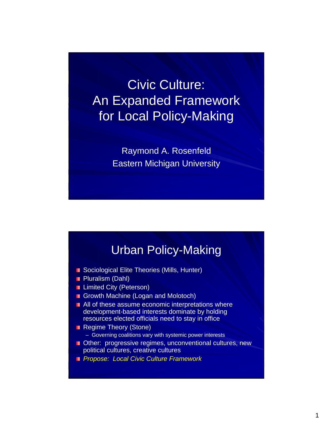Civic Culture: An Expanded Framework for Local Policy-Making

> Raymond A. Rosenfeld Eastern Michigan University

# Urban Policy-Making

- Sociological Elite Theories (Mills, Hunter)
- **Pluralism (Dahl)**
- **Limited City (Peterson)**
- Growth Machine (Logan and Molotoch)
- **All of these assume economic interpretations where** development-based interests dominate by holding resources elected officials need to stay in office
- Regime Theory (Stone)
	- Governing coalitions vary with systemic power interests
- **Other:** progressive regimes, unconventional cultures, new political cultures, creative cultures
- *Propose: Local Civic Culture Framework*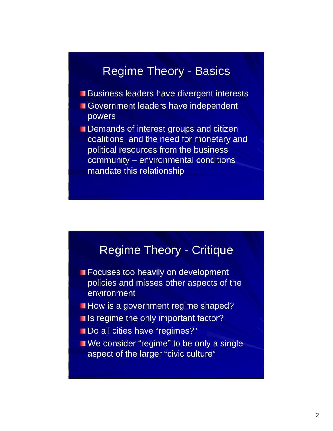# Regime Theory - Basics

- **Business leaders have divergent interests**
- Government leaders have independent powers
- Demands of interest groups and citizen coalitions, and the need for monetary and political resources from the business community – environmental conditions mandate this relationship

## Regime Theory - Critique

- **Exercises too heavily on development** policies and misses other aspects of the environment
- **How is a government regime shaped?**
- **If** Is regime the only important factor?
- Do all cities have "regimes?"
- **No** We consider "regime" to be only a single aspect of the larger "civic culture"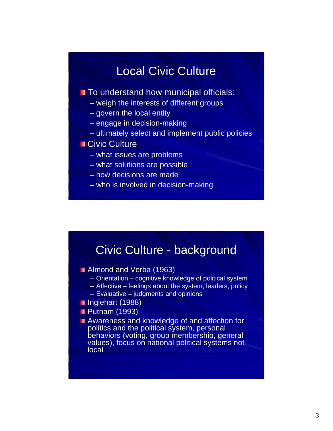# Local Civic Culture

### **The Understand how municipal officials:**

- weigh the interests of different groups
- govern the local entity
- engage in decision-making
- ultimately select and implement public policies

### Civic Culture

- what issues are problems
- what solutions are possible
- how decisions are made
- who is involved in decision-making

### Civic Culture - background

- **Almond and Verba (1963)** 
	- Orientation cognitive knowledge of political system
	- Affective feelings about the system, leaders, policy
	- Evaluative judgments and opinions
- Inglehart (1988)
- **Putnam (1993)**
- **Awareness and knowledge of and affection for** politics and the political system, personal behaviors (voting, group membership, general values), focus on national political systems not local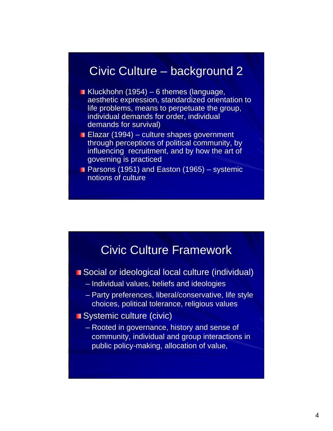### Civic Culture – background 2

- Kluckhohn (1954) 6 themes (language, aesthetic expression, standardized orientation to life problems, means to perpetuate the group, individual demands for order, individual demands for survival)
- **Elazar (1994) culture shapes government** through perceptions of political community, by influencing recruitment, and by how the art of governing is practiced
- **Parsons (1951) and Easton (1965) systemic** notions of culture



- Social or ideological local culture (individual)
	- Individual values, beliefs and ideologies
	- Party preferences, liberal/conservative, life style choices, political tolerance, religious values
- Systemic culture (civic)
	- Rooted in governance, history and sense of community, individual and group interactions in public policy-making, allocation of value,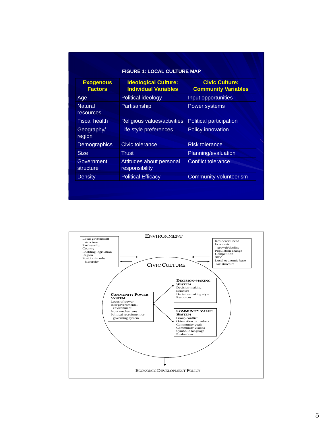| <b>Exogenous</b><br><b>Factors</b> | <b>Ideological Culture:</b><br><b>Individual Variables</b> | <b>Civic Culture:</b><br><b>Community Variables</b> |  |
|------------------------------------|------------------------------------------------------------|-----------------------------------------------------|--|
| Age                                | Political ideology                                         | Input opportunities                                 |  |
| <b>Natural</b><br>resources        | Partisanship<br>Power systems                              |                                                     |  |
| <b>Fiscal health</b>               | Religious values/activities                                | <b>Political participation</b>                      |  |
| Geography/<br>region               | Life style preferences                                     | Policy innovation                                   |  |
| <b>Demographics</b>                | Civic tolerance                                            | <b>Risk tolerance</b>                               |  |
| <b>Size</b>                        | Trust                                                      | Planning/evaluation                                 |  |
| Government<br>structure            | Attitudes about personal<br>responsibility                 | <b>Conflict tolerance</b>                           |  |
| <b>Density</b>                     | <b>Political Efficacy</b>                                  | <b>Community volunteerism</b>                       |  |

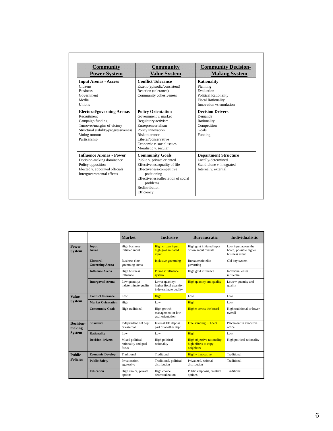| <b>Community</b><br><b>Power System</b>                                                                                                                                       | <b>Community</b><br><b>Value System</b>                                                                                                                                                                              | <b>Community Decision-</b><br><b>Making System</b>                                                                                   |  |
|-------------------------------------------------------------------------------------------------------------------------------------------------------------------------------|----------------------------------------------------------------------------------------------------------------------------------------------------------------------------------------------------------------------|--------------------------------------------------------------------------------------------------------------------------------------|--|
| <b>Input Arenas - Access</b><br>Citizens<br><b>Business</b><br>Government<br>Media<br><b>Unions</b>                                                                           | <b>Conflict Tolerance</b><br>Extent (episodic/consistent)<br>Reaction (tolerance)<br>Community cohesiveness                                                                                                          | <b>Rationality</b><br>Planning<br>Evaluation<br><b>Political Rationality</b><br><b>Fiscal Rationality</b><br>Innovation vs emulation |  |
| <b>Electoral/governing Arenas</b><br>Recruitment<br>Campaign funding<br>Turnover/margins of victory<br>Structural stability/progressiveness<br>Voting turnout<br>Partisanship | <b>Policy Orientation</b><br>Government v market<br>Regulatory activism<br>Entrepreneurialism<br>Policy innovation<br>Risk tolerance<br>Liberal/conservative<br>Economic v. social issues<br>Moralistic v secular    | <b>Decision Drivers</b><br>Demands<br>Rationality<br>Competition<br>Goals<br>Funding                                                 |  |
| <b>Influence Arenas - Power</b><br>Decision-making dominance<br>Policy opposition<br>Elected v. appointed officials<br>Intergovernmental effects                              | <b>Community Goals</b><br>Public v. private oriented<br>Effectiveness/quality of life<br>Effectiveness/competitive<br>positioning<br>Effectiveness/alleviation of social<br>problems<br>Redistribution<br>Efficiency | <b>Department Structure</b><br>Locally-determined<br>Stand-alone v. integrated<br>Internal v external                                |  |

|                                  |                                            | <b>Market</b>                                    | <b>Inclusive</b>                                                    | <b>Bureaucratic</b>                                              | <b>Individualistic</b>                                           |
|----------------------------------|--------------------------------------------|--------------------------------------------------|---------------------------------------------------------------------|------------------------------------------------------------------|------------------------------------------------------------------|
| Power<br><b>System</b>           | Input<br>Arena                             | <b>High business</b><br>initiated input          | High citizen input;<br>high govt initiated<br>input                 | High govt initiated input<br>or low input overall                | Low input across the<br>board, possible higher<br>business input |
|                                  | <b>Electoral</b><br><b>Governing Arena</b> | <b>Business elite</b><br>governing arena         | <b>Inclusive governing</b>                                          | Bureaucratic elite<br>governing                                  | Old boy system                                                   |
|                                  | <b>Influence Arena</b>                     | High business<br>influence                       | <b>Pluralist influence</b><br>system                                | High govt influence                                              | Individual elites<br>influential                                 |
|                                  | <b>Intergovtal Arena</b>                   | Low quantity;<br>indeterminate quality           | Lower quantity;<br>higher fiscal quantity;<br>indeterminate quality | <b>High quantity and quality</b>                                 | Lowew quantity and<br>quality                                    |
| <b>Value</b><br><b>System</b>    | <b>Conflict tolerance</b>                  | Low                                              | High                                                                | Low                                                              | Low                                                              |
|                                  | <b>Market Orientation</b>                  | High                                             | Low                                                                 | High                                                             | Low                                                              |
|                                  | <b>Community Goals</b>                     | High traditional                                 | High growth<br>management or low<br>goal orientation                | <b>Higher across the board</b>                                   | High traditional or lower<br>overall                             |
| <b>Decision-</b><br>making       | <b>Structure</b>                           | Independent ED dept<br>or external               | Internal ED dept as<br>part of another dept                         | <b>Free standing ED dept</b>                                     | Placement in executive<br>office                                 |
| <b>System</b>                    | <b>Rationality</b>                         | Low                                              | Low                                                                 | High                                                             | Low                                                              |
|                                  | <b>Decision-drivers</b>                    | Mixed political<br>rationality and goal<br>focus | High political<br>rationality                                       | High objective rationality;<br>high efforts to copy<br>neighbors | High political rationality                                       |
| <b>Public</b><br><b>Policies</b> | <b>Economic Develop.</b>                   | Traditional                                      | Traditional                                                         | <b>Highly innovative</b>                                         | Traditional                                                      |
|                                  | <b>Public Safety</b>                       | Privatization.<br>aggressive                     | Traditional, political<br>distribution                              | Privatized, rational<br>distribution                             | Traditional                                                      |
|                                  | <b>Education</b>                           | High choice, private<br>options                  | High choice,<br>decentralization                                    | Public emphasis, creative<br>options                             | Traditional                                                      |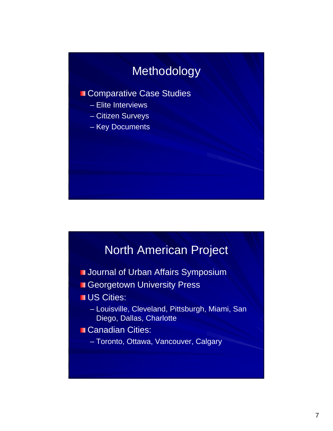# Methodology

#### Comparative Case Studies

- Elite Interviews
- Citizen Surveys
- Key Documents

## North American Project

- **Journal of Urban Affairs Symposium**
- **Georgetown University Press**
- **US Cities:** 
	- Louisville, Cleveland, Pittsburgh, Miami, San Diego, Dallas, Charlotte
- Canadian Cities:
	- Toronto, Ottawa, Vancouver, Calgary